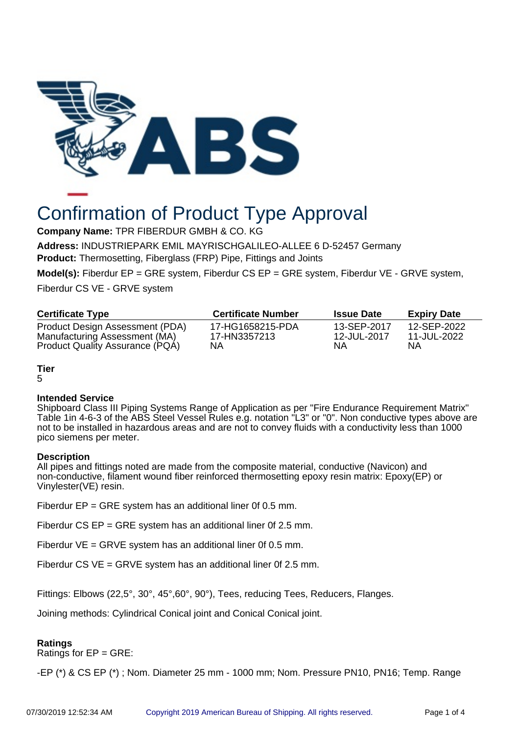

# Confirmation of Product Type Approval

**Company Name:** TPR FIBERDUR GMBH & CO. KG

**Address:** INDUSTRIEPARK EMIL MAYRISCHGALILEO-ALLEE 6 D-52457 Germany **Product:** Thermosetting, Fiberglass (FRP) Pipe, Fittings and Joints

**Model(s):** Fiberdur EP = GRE system, Fiberdur CS EP = GRE system, Fiberdur VE - GRVE system,

Fiberdur CS VE - GRVE system

| <b>Certificate Type</b>                                          | <b>Certificate Number</b>        | <b>Issue Date</b>          | <b>Expiry Date</b>         |
|------------------------------------------------------------------|----------------------------------|----------------------------|----------------------------|
| Product Design Assessment (PDA)<br>Manufacturing Assessment (MA) | 17-HG1658215-PDA<br>17-HN3357213 | 13-SEP-2017<br>12-JUL-2017 | 12-SEP-2022<br>11-JUL-2022 |
| Product Quality Assurance (PQA)                                  | NΑ                               | NΑ                         | NΑ                         |

**Tier**

5

# **Intended Service**

Shipboard Class III Piping Systems Range of Application as per "Fire Endurance Requirement Matrix" Table 1in 4-6-3 of the ABS Steel Vessel Rules e.g. notation "L3" or "0". Non conductive types above are not to be installed in hazardous areas and are not to convey fluids with a conductivity less than 1000 pico siemens per meter.

# **Description**

All pipes and fittings noted are made from the composite material, conductive (Navicon) and non-conductive, filament wound fiber reinforced thermosetting epoxy resin matrix: Epoxy(EP) or Vinylester(VE) resin.

Fiberdur EP = GRE system has an additional liner 0f 0.5 mm.

Fiberdur CS EP = GRE system has an additional liner 0f 2.5 mm.

Fiberdur  $VE = GRVE$  system has an additional liner 0f 0.5 mm.

Fiberdur CS VE = GRVE system has an additional liner 0f 2.5 mm.

Fittings: Elbows (22,5°, 30°, 45°,60°, 90°), Tees, reducing Tees, Reducers, Flanges.

Joining methods: Cylindrical Conical joint and Conical Conical joint.

# **Ratings**

Ratings for EP = GRE:

-EP (\*) & CS EP (\*) ; Nom. Diameter 25 mm - 1000 mm; Nom. Pressure PN10, PN16; Temp. Range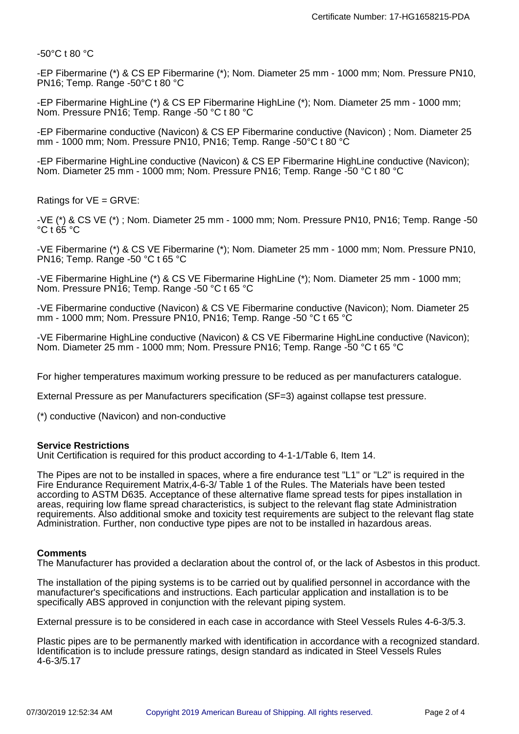-50°C t 80 °C

-EP Fibermarine (\*) & CS EP Fibermarine (\*); Nom. Diameter 25 mm - 1000 mm; Nom. Pressure PN10, PN16; Temp. Range -50°C t 80 °C

-EP Fibermarine HighLine (\*) & CS EP Fibermarine HighLine (\*); Nom. Diameter 25 mm - 1000 mm; Nom. Pressure PN16; Temp. Range -50 °C t 80 °C

-EP Fibermarine conductive (Navicon) & CS EP Fibermarine conductive (Navicon) ; Nom. Diameter 25 mm - 1000 mm; Nom. Pressure PN10, PN16; Temp. Range -50°C t 80 °C

-EP Fibermarine HighLine conductive (Navicon) & CS EP Fibermarine HighLine conductive (Navicon); Nom. Diameter 25 mm - 1000 mm; Nom. Pressure PN16; Temp. Range -50 °C t 80 °C

Ratings for VE = GRVE:

-VE (\*) & CS VE (\*) ; Nom. Diameter 25 mm - 1000 mm; Nom. Pressure PN10, PN16; Temp. Range -50 °C t 65 °C

-VE Fibermarine (\*) & CS VE Fibermarine (\*); Nom. Diameter 25 mm - 1000 mm; Nom. Pressure PN10, PN16; Temp. Range -50 °C t 65 °C

-VE Fibermarine HighLine (\*) & CS VE Fibermarine HighLine (\*); Nom. Diameter 25 mm - 1000 mm; Nom. Pressure PN16; Temp. Range -50 °C t 65 °C

-VE Fibermarine conductive (Navicon) & CS VE Fibermarine conductive (Navicon); Nom. Diameter 25 mm - 1000 mm; Nom. Pressure PN10, PN16; Temp. Range -50 °C t 65 °C

-VE Fibermarine HighLine conductive (Navicon) & CS VE Fibermarine HighLine conductive (Navicon); Nom. Diameter 25 mm - 1000 mm; Nom. Pressure PN16; Temp. Range -50 °C t 65 °C

For higher temperatures maximum working pressure to be reduced as per manufacturers catalogue.

External Pressure as per Manufacturers specification (SF=3) against collapse test pressure.

(\*) conductive (Navicon) and non-conductive

#### **Service Restrictions**

Unit Certification is required for this product according to 4-1-1/Table 6, Item 14.

The Pipes are not to be installed in spaces, where a fire endurance test "L1" or "L2" is required in the Fire Endurance Requirement Matrix,4-6-3/ Table 1 of the Rules. The Materials have been tested according to ASTM D635. Acceptance of these alternative flame spread tests for pipes installation in areas, requiring low flame spread characteristics, is subject to the relevant flag state Administration requirements. Also additional smoke and toxicity test requirements are subject to the relevant flag state Administration. Further, non conductive type pipes are not to be installed in hazardous areas.

#### **Comments**

The Manufacturer has provided a declaration about the control of, or the lack of Asbestos in this product.

The installation of the piping systems is to be carried out by qualified personnel in accordance with the manufacturer's specifications and instructions. Each particular application and installation is to be specifically ABS approved in conjunction with the relevant piping system.

External pressure is to be considered in each case in accordance with Steel Vessels Rules 4-6-3/5.3.

Plastic pipes are to be permanently marked with identification in accordance with a recognized standard. Identification is to include pressure ratings, design standard as indicated in Steel Vessels Rules 4-6-3/5.17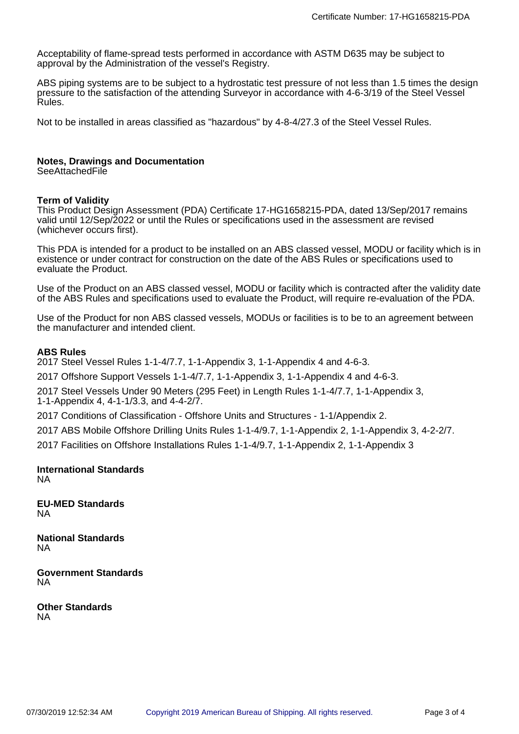Acceptability of flame-spread tests performed in accordance with ASTM D635 may be subject to approval by the Administration of the vessel's Registry.

ABS piping systems are to be subject to a hydrostatic test pressure of not less than 1.5 times the design pressure to the satisfaction of the attending Surveyor in accordance with 4-6-3/19 of the Steel Vessel Rules.

Not to be installed in areas classified as "hazardous" by 4-8-4/27.3 of the Steel Vessel Rules.

# **Notes, Drawings and Documentation**

**SeeAttachedFile** 

## **Term of Validity**

This Product Design Assessment (PDA) Certificate 17-HG1658215-PDA, dated 13/Sep/2017 remains valid until 12/Sep/2022 or until the Rules or specifications used in the assessment are revised (whichever occurs first).

This PDA is intended for a product to be installed on an ABS classed vessel, MODU or facility which is in existence or under contract for construction on the date of the ABS Rules or specifications used to evaluate the Product.

Use of the Product on an ABS classed vessel, MODU or facility which is contracted after the validity date of the ABS Rules and specifications used to evaluate the Product, will require re-evaluation of the PDA.

Use of the Product for non ABS classed vessels, MODUs or facilities is to be to an agreement between the manufacturer and intended client.

## **ABS Rules**

2017 Steel Vessel Rules 1-1-4/7.7, 1-1-Appendix 3, 1-1-Appendix 4 and 4-6-3.

2017 Offshore Support Vessels 1-1-4/7.7, 1-1-Appendix 3, 1-1-Appendix 4 and 4-6-3.

2017 Steel Vessels Under 90 Meters (295 Feet) in Length Rules 1-1-4/7.7, 1-1-Appendix 3, 1-1-Appendix 4, 4-1-1/3.3, and 4-4-2/7.

2017 Conditions of Classification - Offshore Units and Structures - 1-1/Appendix 2.

2017 ABS Mobile Offshore Drilling Units Rules 1-1-4/9.7, 1-1-Appendix 2, 1-1-Appendix 3, 4-2-2/7.

2017 Facilities on Offshore Installations Rules 1-1-4/9.7, 1-1-Appendix 2, 1-1-Appendix 3

#### **International Standards** NA

**EU-MED Standards** NA

**National Standards** NA

**Government Standards** NA

**Other Standards** NA